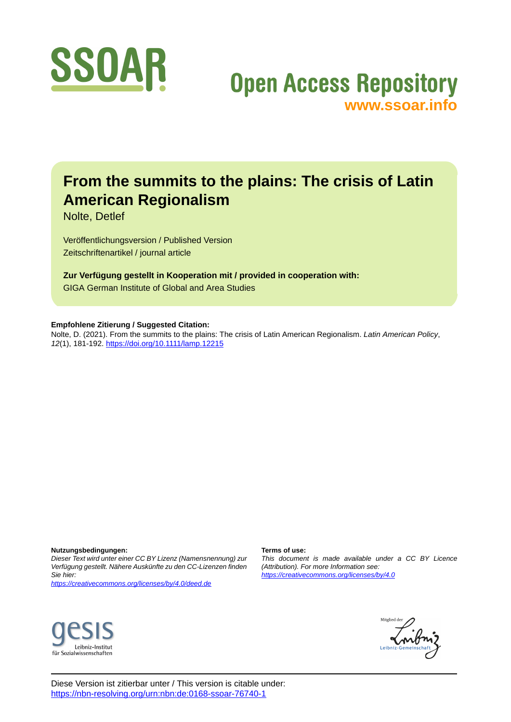

# **Open Access Repository [www.ssoar.info](http://www.ssoar.info)**

# **From the summits to the plains: The crisis of Latin American Regionalism**

Nolte, Detlef

Veröffentlichungsversion / Published Version Zeitschriftenartikel / journal article

**Zur Verfügung gestellt in Kooperation mit / provided in cooperation with:** GIGA German Institute of Global and Area Studies

### **Empfohlene Zitierung / Suggested Citation:**

Nolte, D. (2021). From the summits to the plains: The crisis of Latin American Regionalism. *Latin American Policy*, *12*(1), 181-192. <https://doi.org/10.1111/lamp.12215>

**Nutzungsbedingungen:**

*Dieser Text wird unter einer CC BY Lizenz (Namensnennung) zur Verfügung gestellt. Nähere Auskünfte zu den CC-Lizenzen finden Sie hier:*

*<https://creativecommons.org/licenses/by/4.0/deed.de>*

# Leibniz-Institut für Sozialwissenschaften

### **Terms of use:**

*This document is made available under a CC BY Licence (Attribution). For more Information see: <https://creativecommons.org/licenses/by/4.0>*



Diese Version ist zitierbar unter / This version is citable under: <https://nbn-resolving.org/urn:nbn:de:0168-ssoar-76740-1>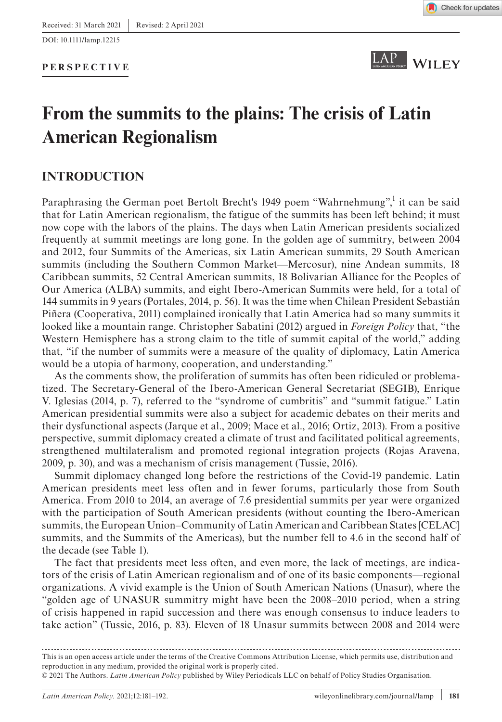### **PERSPECTIVE**





## **From the summits to the plains: The crisis of Latin American Regionalism**

## **INTRODUCTION**

Paraphrasing the German poet Bertolt Brecht's 1949 poem "Wahrnehmung",<sup>1</sup> it can be said that for Latin American regionalism, the fatigue of the summits has been left behind; it must now cope with the labors of the plains. The days when Latin American presidents socialized frequently at summit meetings are long gone. In the golden age of summitry, between 2004 and 2012, four Summits of the Americas, six Latin American summits, 29 South American summits (including the Southern Common Market—Mercosur), nine Andean summits, 18 Caribbean summits, 52 Central American summits, 18 Bolivarian Alliance for the Peoples of Our America (ALBA) summits, and eight Ibero-American Summits were held, for a total of 144 summits in 9 years (Portales, 2014, p. 56). It was the time when Chilean President Sebastián Piñera (Cooperativa, 2011) complained ironically that Latin America had so many summits it looked like a mountain range. Christopher Sabatini (2012) argued in *Foreign Policy* that, "the Western Hemisphere has a strong claim to the title of summit capital of the world," adding that, "if the number of summits were a measure of the quality of diplomacy, Latin America would be a utopia of harmony, cooperation, and understanding."

As the comments show, the proliferation of summits has often been ridiculed or problematized. The Secretary-General of the Ibero-American General Secretariat (SEGIB), Enrique V. Iglesias (2014, p. 7), referred to the "syndrome of cumbritis" and "summit fatigue." Latin American presidential summits were also a subject for academic debates on their merits and their dysfunctional aspects (Jarque et al., 2009; Mace et al., 2016; Ortiz, 2013). From a positive perspective, summit diplomacy created a climate of trust and facilitated political agreements, strengthened multilateralism and promoted regional integration projects (Rojas Aravena, 2009, p. 30), and was a mechanism of crisis management (Tussie, 2016).

Summit diplomacy changed long before the restrictions of the Covid-19 pandemic. Latin American presidents meet less often and in fewer forums, particularly those from South America. From 2010 to 2014, an average of 7.6 presidential summits per year were organized with the participation of South American presidents (without counting the Ibero-American summits, the European Union–Community of Latin American and Caribbean States [CELAC] summits, and the Summits of the Americas), but the number fell to 4.6 in the second half of the decade (see Table 1).

The fact that presidents meet less often, and even more, the lack of meetings, are indicators of the crisis of Latin American regionalism and of one of its basic components—regional organizations. A vivid example is the Union of South American Nations (Unasur), where the "golden age of UNASUR summitry might have been the 2008–2010 period, when a string of crisis happened in rapid succession and there was enough consensus to induce leaders to take action" (Tussie, 2016, p. 83). Eleven of 18 Unasur summits between 2008 and 2014 were

This is an open access article under the terms of the [Creative Commons Attribution](http://creativecommons.org/licenses/by/4.0/) License, which permits use, distribution and reproduction in any medium, provided the original work is properly cited.

© 2021 The Authors. *Latin American Policy* published by Wiley Periodicals LLC on behalf of Policy Studies Organisation.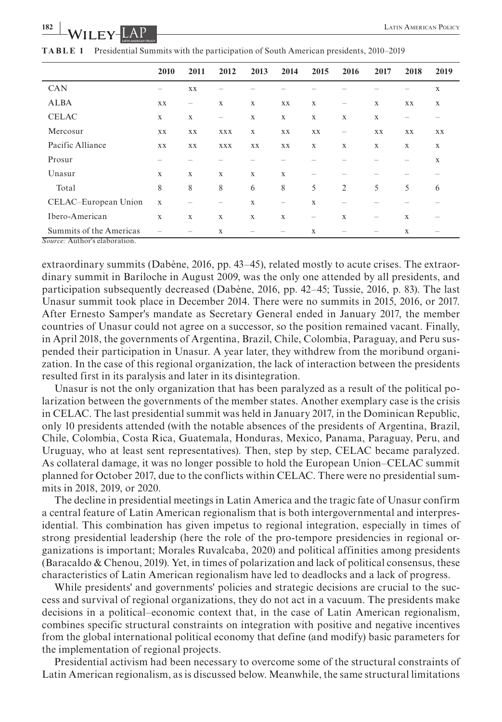|                         | 2010        | 2011                                  | 2012                     | 2013 | 2014              | 2015 | 2016 | 2017              | 2018                                  | 2019                                  |
|-------------------------|-------------|---------------------------------------|--------------------------|------|-------------------|------|------|-------------------|---------------------------------------|---------------------------------------|
| <b>CAN</b>              |             | XX                                    |                          |      |                   |      |      |                   |                                       | X                                     |
| <b>ALBA</b>             | XX          |                                       | X                        | X    | XX                | X    |      | X                 | XX                                    | X                                     |
| <b>CELAC</b>            | X           | X                                     | $\overline{\phantom{0}}$ | X    | X                 | X    | X    | X                 | $\hspace{1.0cm} \rule{1.5cm}{0.15cm}$ |                                       |
| Mercosur                | XX          | XX                                    | XXX                      | X    | XX                | XX   | -    | XX                | XX                                    | XX                                    |
| Pacific Alliance        | XX          | XX                                    | XXX                      | XX   | XX                | X    | X    | X                 | X                                     | X                                     |
| Prosur                  |             |                                       |                          |      |                   |      |      |                   |                                       | X                                     |
| Unasur                  | X           | X                                     | X                        | X    | X                 |      |      |                   |                                       |                                       |
| Total                   | 8           | 8                                     | 8                        | 6    | 8                 | 5    | 2    | 5                 | 5                                     | 6                                     |
| CELAC-European Union    | $\mathbf X$ | $\hspace{1.0cm} \rule{1.5cm}{0.15cm}$ |                          | X    | $\qquad \qquad -$ | X    |      |                   |                                       |                                       |
| Ibero-American          | $\mathbf X$ | $\mathbf X$                           | X                        | X    | X                 | -    | X    | $\hspace{0.05cm}$ | X                                     | $\hspace{1.0cm} \rule{1.5cm}{0.15cm}$ |
| Summits of the Americas |             | $\hspace{1.0cm} \rule{1.5cm}{0.15cm}$ | X                        |      | -                 | X    |      |                   | Х                                     | $\hspace{0.05cm}$                     |

**TABLE 1** Presidential Summits with the participation of South American presidents, 2010–2019

*Source:* Author's elaboration.

extraordinary summits (Dabène, 2016, pp. 43–45), related mostly to acute crises. The extraordinary summit in Bariloche in August 2009, was the only one attended by all presidents, and participation subsequently decreased (Dabène, 2016, pp. 42–45; Tussie, 2016, p. 83). The last Unasur summit took place in December 2014. There were no summits in 2015, 2016, or 2017. After Ernesto Samper's mandate as Secretary General ended in January 2017, the member countries of Unasur could not agree on a successor, so the position remained vacant. Finally, in April 2018, the governments of Argentina, Brazil, Chile, Colombia, Paraguay, and Peru suspended their participation in Unasur. A year later, they withdrew from the moribund organization. In the case of this regional organization, the lack of interaction between the presidents resulted first in its paralysis and later in its disintegration.

Unasur is not the only organization that has been paralyzed as a result of the political polarization between the governments of the member states. Another exemplary case is the crisis in CELAC. The last presidential summit was held in January 2017, in the Dominican Republic, only 10 presidents attended (with the notable absences of the presidents of Argentina, Brazil, Chile, Colombia, Costa Rica, Guatemala, Honduras, Mexico, Panama, Paraguay, Peru, and Uruguay, who at least sent representatives). Then, step by step, CELAC became paralyzed. As collateral damage, it was no longer possible to hold the European Union–CELAC summit planned for October 2017, due to the conflicts within CELAC. There were no presidential summits in 2018, 2019, or 2020.

The decline in presidential meetings in Latin America and the tragic fate of Unasur confirm a central feature of Latin American regionalism that is both intergovernmental and interpresidential. This combination has given impetus to regional integration, especially in times of strong presidential leadership (here the role of the pro-tempore presidencies in regional organizations is important; Morales Ruvalcaba, 2020) and political affinities among presidents (Baracaldo & Chenou, 2019). Yet, in times of polarization and lack of political consensus, these characteristics of Latin American regionalism have led to deadlocks and a lack of progress.

While presidents' and governments' policies and strategic decisions are crucial to the success and survival of regional organizations, they do not act in a vacuum. The presidents make decisions in a political–economic context that, in the case of Latin American regionalism, combines specific structural constraints on integration with positive and negative incentives from the global international political economy that define (and modify) basic parameters for the implementation of regional projects.

Presidential activism had been necessary to overcome some of the structural constraints of Latin American regionalism, as is discussed below. Meanwhile, the same structural limitations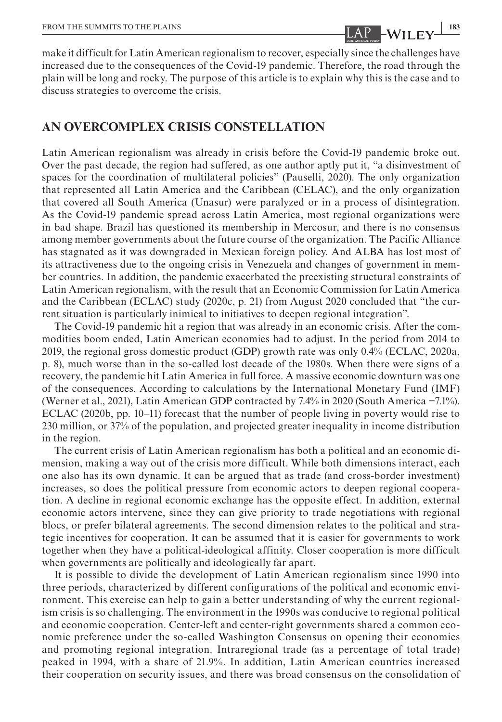make it difficult for Latin American regionalism to recover, especially since the challenges have increased due to the consequences of the Covid-19 pandemic. Therefore, the road through the plain will be long and rocky. The purpose of this article is to explain why this is the case and to discuss strategies to overcome the crisis.

### **AN OVERCOMPLEX CRISIS CONSTELLATION**

Latin American regionalism was already in crisis before the Covid-19 pandemic broke out. Over the past decade, the region had suffered, as one author aptly put it, "a disinvestment of spaces for the coordination of multilateral policies" (Pauselli, 2020). The only organization that represented all Latin America and the Caribbean (CELAC), and the only organization that covered all South America (Unasur) were paralyzed or in a process of disintegration. As the Covid-19 pandemic spread across Latin America, most regional organizations were in bad shape. Brazil has questioned its membership in Mercosur, and there is no consensus among member governments about the future course of the organization. The Pacific Alliance has stagnated as it was downgraded in Mexican foreign policy. And ALBA has lost most of its attractiveness due to the ongoing crisis in Venezuela and changes of government in member countries. In addition, the pandemic exacerbated the preexisting structural constraints of Latin American regionalism, with the result that an Economic Commission for Latin America and the Caribbean (ECLAC) study (2020c, p. 21) from August 2020 concluded that "the current situation is particularly inimical to initiatives to deepen regional integration".

The Covid-19 pandemic hit a region that was already in an economic crisis. After the commodities boom ended, Latin American economies had to adjust. In the period from 2014 to 2019, the regional gross domestic product (GDP) growth rate was only 0.4% (ECLAC, 2020a, p. 8), much worse than in the so-called lost decade of the 1980s. When there were signs of a recovery, the pandemic hit Latin America in full force. A massive economic downturn was one of the consequences. According to calculations by the International Monetary Fund (IMF) (Werner et al., 2021), Latin American GDP contracted by 7.4% in 2020 (South America −7.1%). ECLAC (2020b, pp. 10–11) forecast that the number of people living in poverty would rise to 230 million, or 37% of the population, and projected greater inequality in income distribution in the region.

The current crisis of Latin American regionalism has both a political and an economic dimension, making a way out of the crisis more difficult. While both dimensions interact, each one also has its own dynamic. It can be argued that as trade (and cross-border investment) increases, so does the political pressure from economic actors to deepen regional cooperation. A decline in regional economic exchange has the opposite effect. In addition, external economic actors intervene, since they can give priority to trade negotiations with regional blocs, or prefer bilateral agreements. The second dimension relates to the political and strategic incentives for cooperation. It can be assumed that it is easier for governments to work together when they have a political-ideological affinity. Closer cooperation is more difficult when governments are politically and ideologically far apart.

It is possible to divide the development of Latin American regionalism since 1990 into three periods, characterized by different configurations of the political and economic environment. This exercise can help to gain a better understanding of why the current regionalism crisis is so challenging. The environment in the 1990s was conducive to regional political and economic cooperation. Center-left and center-right governments shared a common economic preference under the so-called Washington Consensus on opening their economies and promoting regional integration. Intraregional trade (as a percentage of total trade) peaked in 1994, with a share of 21.9%. In addition, Latin American countries increased their cooperation on security issues, and there was broad consensus on the consolidation of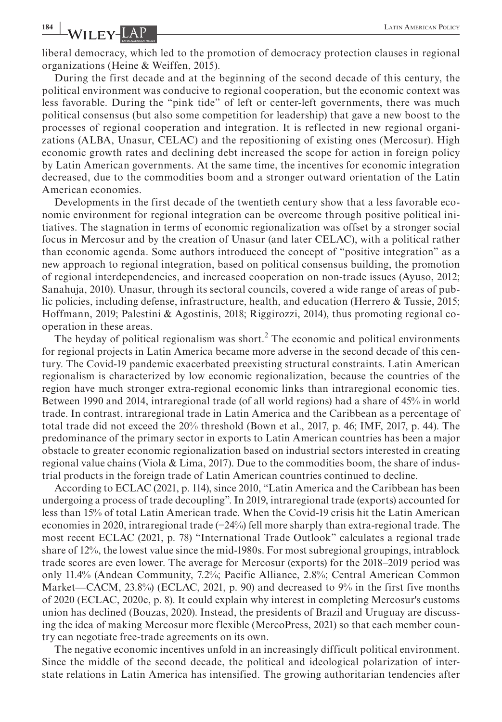## **1848 LATIN AMERICAN POLICY**

liberal democracy, which led to the promotion of democracy protection clauses in regional organizations (Heine & Weiffen, 2015).

During the first decade and at the beginning of the second decade of this century, the political environment was conducive to regional cooperation, but the economic context was less favorable. During the "pink tide" of left or center-left governments, there was much political consensus (but also some competition for leadership) that gave a new boost to the processes of regional cooperation and integration. It is reflected in new regional organizations (ALBA, Unasur, CELAC) and the repositioning of existing ones (Mercosur). High economic growth rates and declining debt increased the scope for action in foreign policy by Latin American governments. At the same time, the incentives for economic integration decreased, due to the commodities boom and a stronger outward orientation of the Latin American economies.

Developments in the first decade of the twentieth century show that a less favorable economic environment for regional integration can be overcome through positive political initiatives. The stagnation in terms of economic regionalization was offset by a stronger social focus in Mercosur and by the creation of Unasur (and later CELAC), with a political rather than economic agenda. Some authors introduced the concept of "positive integration" as a new approach to regional integration, based on political consensus building, the promotion of regional interdependencies, and increased cooperation on non-trade issues (Ayuso, 2012; Sanahuja, 2010). Unasur, through its sectoral councils, covered a wide range of areas of public policies, including defense, infrastructure, health, and education (Herrero & Tussie, 2015; Hoffmann, 2019; Palestini & Agostinis, 2018; Riggirozzi, 2014), thus promoting regional cooperation in these areas.

The heyday of political regionalism was short.<sup>2</sup> The economic and political environments for regional projects in Latin America became more adverse in the second decade of this century. The Covid-19 pandemic exacerbated preexisting structural constraints. Latin American regionalism is characterized by low economic regionalization, because the countries of the region have much stronger extra-regional economic links than intraregional economic ties. Between 1990 and 2014, intraregional trade (of all world regions) had a share of 45% in world trade. In contrast, intraregional trade in Latin America and the Caribbean as a percentage of total trade did not exceed the 20% threshold (Bown et al., 2017, p. 46; IMF, 2017, p. 44). The predominance of the primary sector in exports to Latin American countries has been a major obstacle to greater economic regionalization based on industrial sectors interested in creating regional value chains (Viola & Lima, 2017). Due to the commodities boom, the share of industrial products in the foreign trade of Latin American countries continued to decline.

According to ECLAC (2021, p. 114), since 2010, "Latin America and the Caribbean has been undergoing a process of trade decoupling". In 2019, intraregional trade (exports) accounted for less than 15% of total Latin American trade. When the Covid-19 crisis hit the Latin American economies in 2020, intraregional trade (−24%) fell more sharply than extra-regional trade. The most recent ECLAC (2021, p. 78) "International Trade Outlook" calculates a regional trade share of 12%, the lowest value since the mid-1980s. For most subregional groupings, intrablock trade scores are even lower. The average for Mercosur (exports) for the 2018–2019 period was only 11.4% (Andean Community, 7.2%; Pacific Alliance, 2.8%; Central American Common Market—CACM, 23.8%) (ECLAC, 2021, p. 90) and decreased to 9% in the first five months of 2020 (ECLAC, 2020c, p. 8). It could explain why interest in completing Mercosur's customs union has declined (Bouzas, 2020). Instead, the presidents of Brazil and Uruguay are discussing the idea of making Mercosur more flexible (MercoPress, 2021) so that each member country can negotiate free-trade agreements on its own.

The negative economic incentives unfold in an increasingly difficult political environment. Since the middle of the second decade, the political and ideological polarization of interstate relations in Latin America has intensified. The growing authoritarian tendencies after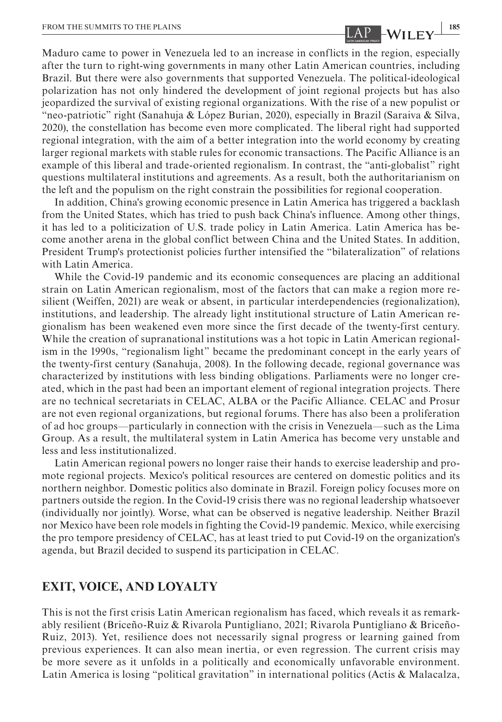Maduro came to power in Venezuela led to an increase in conflicts in the region, especially after the turn to right-wing governments in many other Latin American countries, including Brazil. But there were also governments that supported Venezuela. The political-ideological polarization has not only hindered the development of joint regional projects but has also jeopardized the survival of existing regional organizations. With the rise of a new populist or "neo-patriotic" right (Sanahuja & López Burian, 2020), especially in Brazil (Saraiva & Silva, 2020), the constellation has become even more complicated. The liberal right had supported regional integration, with the aim of a better integration into the world economy by creating larger regional markets with stable rules for economic transactions. The Pacific Alliance is an example of this liberal and trade-oriented regionalism. In contrast, the "anti-globalist" right questions multilateral institutions and agreements. As a result, both the authoritarianism on the left and the populism on the right constrain the possibilities for regional cooperation.

In addition, China's growing economic presence in Latin America has triggered a backlash from the United States, which has tried to push back China's influence. Among other things, it has led to a politicization of U.S. trade policy in Latin America. Latin America has become another arena in the global conflict between China and the United States. In addition, President Trump's protectionist policies further intensified the "bilateralization" of relations with Latin America.

While the Covid-19 pandemic and its economic consequences are placing an additional strain on Latin American regionalism, most of the factors that can make a region more resilient (Weiffen, 2021) are weak or absent, in particular interdependencies (regionalization), institutions, and leadership. The already light institutional structure of Latin American regionalism has been weakened even more since the first decade of the twenty-first century. While the creation of supranational institutions was a hot topic in Latin American regionalism in the 1990s, "regionalism light" became the predominant concept in the early years of the twenty-first century (Sanahuja, 2008). In the following decade, regional governance was characterized by institutions with less binding obligations. Parliaments were no longer created, which in the past had been an important element of regional integration projects. There are no technical secretariats in CELAC, ALBA or the Pacific Alliance. CELAC and Prosur are not even regional organizations, but regional forums. There has also been a proliferation of ad hoc groups—particularly in connection with the crisis in Venezuela—such as the Lima Group. As a result, the multilateral system in Latin America has become very unstable and less and less institutionalized.

Latin American regional powers no longer raise their hands to exercise leadership and promote regional projects. Mexico's political resources are centered on domestic politics and its northern neighbor. Domestic politics also dominate in Brazil. Foreign policy focuses more on partners outside the region. In the Covid-19 crisis there was no regional leadership whatsoever (individually nor jointly). Worse, what can be observed is negative leadership. Neither Brazil nor Mexico have been role models in fighting the Covid-19 pandemic. Mexico, while exercising the pro tempore presidency of CELAC, has at least tried to put Covid-19 on the organization's agenda, but Brazil decided to suspend its participation in CELAC.

### **EXIT, VOICE, AND LOYALTY**

This is not the first crisis Latin American regionalism has faced, which reveals it as remarkably resilient (Briceño-Ruiz & Rivarola Puntigliano, 2021; Rivarola Puntigliano & Briceño-Ruiz, 2013). Yet, resilience does not necessarily signal progress or learning gained from previous experiences. It can also mean inertia, or even regression. The current crisis may be more severe as it unfolds in a politically and economically unfavorable environment. Latin America is losing "political gravitation" in international politics (Actis & Malacalza,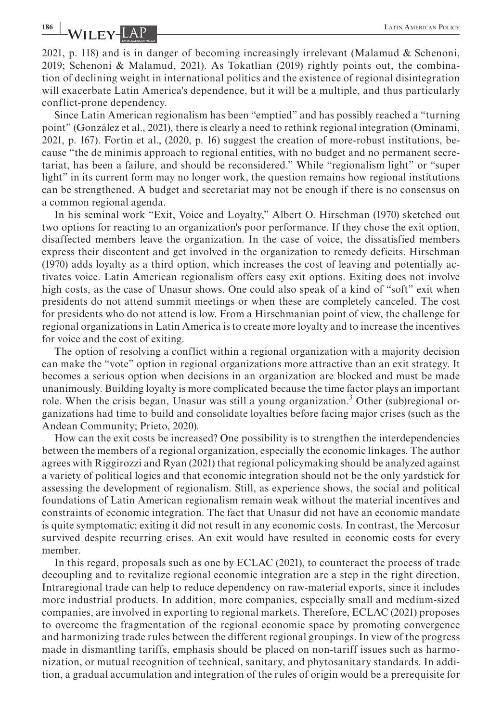**1866** LATIN AMERICAN POLICY

2021, p. 118) and is in danger of becoming increasingly irrelevant (Malamud & Schenoni, 2019; Schenoni & Malamud, 2021). As Tokatlian (2019) rightly points out, the combination of declining weight in international politics and the existence of regional disintegration will exacerbate Latin America's dependence, but it will be a multiple, and thus particularly conflict-prone dependency.

Since Latin American regionalism has been "emptied" and has possibly reached a "turning point" (González et al., 2021), there is clearly a need to rethink regional integration (Ominami, 2021, p. 167). Fortin et al., (2020, p. 16) suggest the creation of more-robust institutions, because "the de minimis approach to regional entities, with no budget and no permanent secretariat, has been a failure, and should be reconsidered." While "regionalism light" or "super light" in its current form may no longer work, the question remains how regional institutions can be strengthened. A budget and secretariat may not be enough if there is no consensus on a common regional agenda.

In his seminal work "Exit, Voice and Loyalty," Albert O. Hirschman (1970) sketched out two options for reacting to an organization's poor performance. If they chose the exit option, disaffected members leave the organization. In the case of voice, the dissatisfied members express their discontent and get involved in the organization to remedy deficits. Hirschman (1970) adds loyalty as a third option, which increases the cost of leaving and potentially activates voice. Latin American regionalism offers easy exit options. Exiting does not involve high costs, as the case of Unasur shows. One could also speak of a kind of "soft" exit when presidents do not attend summit meetings or when these are completely canceled. The cost for presidents who do not attend is low. From a Hirschmanian point of view, the challenge for regional organizations in Latin America is to create more loyalty and to increase the incentives for voice and the cost of exiting.

The option of resolving a conflict within a regional organization with a majority decision can make the "vote" option in regional organizations more attractive than an exit strategy. It becomes a serious option when decisions in an organization are blocked and must be made unanimously. Building loyalty is more complicated because the time factor plays an important role. When the crisis began, Unasur was still a young organization.<sup>3</sup> Other (sub)regional organizations had time to build and consolidate loyalties before facing major crises (such as the Andean Community; Prieto, 2020).

How can the exit costs be increased? One possibility is to strengthen the interdependencies between the members of a regional organization, especially the economic linkages. The author agrees with Riggirozzi and Ryan (2021) that regional policymaking should be analyzed against a variety of political logics and that economic integration should not be the only yardstick for assessing the development of regionalism. Still, as experience shows, the social and political foundations of Latin American regionalism remain weak without the material incentives and constraints of economic integration. The fact that Unasur did not have an economic mandate is quite symptomatic; exiting it did not result in any economic costs. In contrast, the Mercosur survived despite recurring crises. An exit would have resulted in economic costs for every member.

In this regard, proposals such as one by ECLAC (2021), to counteract the process of trade decoupling and to revitalize regional economic integration are a step in the right direction. Intraregional trade can help to reduce dependency on raw-material exports, since it includes more industrial products. In addition, more companies, especially small and medium-sized companies, are involved in exporting to regional markets. Therefore, ECLAC (2021) proposes to overcome the fragmentation of the regional economic space by promoting convergence and harmonizing trade rules between the different regional groupings. In view of the progress made in dismantling tariffs, emphasis should be placed on non-tariff issues such as harmonization, or mutual recognition of technical, sanitary, and phytosanitary standards. In addition, a gradual accumulation and integration of the rules of origin would be a prerequisite for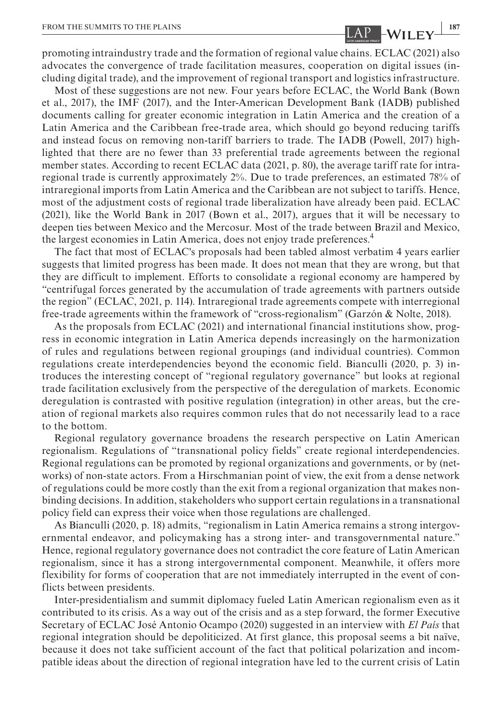promoting intraindustry trade and the formation of regional value chains. ECLAC (2021) also advocates the convergence of trade facilitation measures, cooperation on digital issues (including digital trade), and the improvement of regional transport and logistics infrastructure.

Most of these suggestions are not new. Four years before ECLAC, the World Bank (Bown et al., 2017), the IMF (2017), and the Inter-American Development Bank (IADB) published documents calling for greater economic integration in Latin America and the creation of a Latin America and the Caribbean free-trade area, which should go beyond reducing tariffs and instead focus on removing non-tariff barriers to trade. The IADB (Powell, 2017) highlighted that there are no fewer than 33 preferential trade agreements between the regional member states. According to recent ECLAC data (2021, p. 80), the average tariff rate for intraregional trade is currently approximately 2%. Due to trade preferences, an estimated 78% of intraregional imports from Latin America and the Caribbean are not subject to tariffs. Hence, most of the adjustment costs of regional trade liberalization have already been paid. ECLAC (2021), like the World Bank in 2017 (Bown et al., 2017), argues that it will be necessary to deepen ties between Mexico and the Mercosur. Most of the trade between Brazil and Mexico, the largest economies in Latin America, does not enjoy trade preferences.4

The fact that most of ECLAC's proposals had been tabled almost verbatim 4 years earlier suggests that limited progress has been made. It does not mean that they are wrong, but that they are difficult to implement. Efforts to consolidate a regional economy are hampered by "centrifugal forces generated by the accumulation of trade agreements with partners outside the region" (ECLAC, 2021, p. 114). Intraregional trade agreements compete with interregional free-trade agreements within the framework of "cross-regionalism" (Garzón & Nolte, 2018).

As the proposals from ECLAC (2021) and international financial institutions show, progress in economic integration in Latin America depends increasingly on the harmonization of rules and regulations between regional groupings (and individual countries). Common regulations create interdependencies beyond the economic field. Bianculli (2020, p. 3) introduces the interesting concept of "regional regulatory governance" but looks at regional trade facilitation exclusively from the perspective of the deregulation of markets. Economic deregulation is contrasted with positive regulation (integration) in other areas, but the creation of regional markets also requires common rules that do not necessarily lead to a race to the bottom.

Regional regulatory governance broadens the research perspective on Latin American regionalism. Regulations of "transnational policy fields" create regional interdependencies. Regional regulations can be promoted by regional organizations and governments, or by (networks) of non-state actors. From a Hirschmanian point of view, the exit from a dense network of regulations could be more costly than the exit from a regional organization that makes nonbinding decisions. In addition, stakeholders who support certain regulations in a transnational policy field can express their voice when those regulations are challenged.

As Bianculli (2020, p. 18) admits, "regionalism in Latin America remains a strong intergovernmental endeavor, and policymaking has a strong inter- and transgovernmental nature." Hence, regional regulatory governance does not contradict the core feature of Latin American regionalism, since it has a strong intergovernmental component. Meanwhile, it offers more flexibility for forms of cooperation that are not immediately interrupted in the event of conflicts between presidents.

Inter-presidentialism and summit diplomacy fueled Latin American regionalism even as it contributed to its crisis. As a way out of the crisis and as a step forward, the former Executive Secretary of ECLAC José Antonio Ocampo (2020) suggested in an interview with *El País* that regional integration should be depoliticized. At first glance, this proposal seems a bit naïve, because it does not take sufficient account of the fact that political polarization and incompatible ideas about the direction of regional integration have led to the current crisis of Latin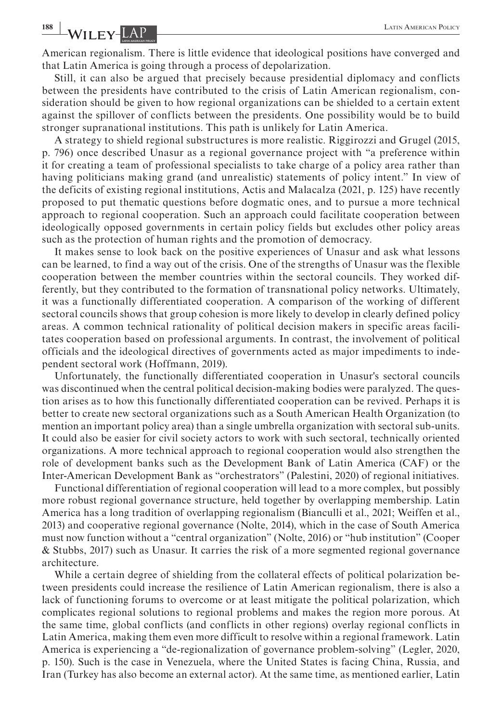**188 WILEY-LAP** *LATIN AMERICAN POLICY* 

American regionalism. There is little evidence that ideological positions have converged and that Latin America is going through a process of depolarization.

Still, it can also be argued that precisely because presidential diplomacy and conflicts between the presidents have contributed to the crisis of Latin American regionalism, consideration should be given to how regional organizations can be shielded to a certain extent against the spillover of conflicts between the presidents. One possibility would be to build stronger supranational institutions. This path is unlikely for Latin America.

A strategy to shield regional substructures is more realistic. Riggirozzi and Grugel (2015, p. 796) once described Unasur as a regional governance project with "a preference within it for creating a team of professional specialists to take charge of a policy area rather than having politicians making grand (and unrealistic) statements of policy intent." In view of the deficits of existing regional institutions, Actis and Malacalza (2021, p. 125) have recently proposed to put thematic questions before dogmatic ones, and to pursue a more technical approach to regional cooperation. Such an approach could facilitate cooperation between ideologically opposed governments in certain policy fields but excludes other policy areas such as the protection of human rights and the promotion of democracy.

It makes sense to look back on the positive experiences of Unasur and ask what lessons can be learned, to find a way out of the crisis. One of the strengths of Unasur was the flexible cooperation between the member countries within the sectoral councils. They worked differently, but they contributed to the formation of transnational policy networks. Ultimately, it was a functionally differentiated cooperation. A comparison of the working of different sectoral councils shows that group cohesion is more likely to develop in clearly defined policy areas. A common technical rationality of political decision makers in specific areas facilitates cooperation based on professional arguments. In contrast, the involvement of political officials and the ideological directives of governments acted as major impediments to independent sectoral work (Hoffmann, 2019).

Unfortunately, the functionally differentiated cooperation in Unasur's sectoral councils was discontinued when the central political decision-making bodies were paralyzed. The question arises as to how this functionally differentiated cooperation can be revived. Perhaps it is better to create new sectoral organizations such as a South American Health Organization (to mention an important policy area) than a single umbrella organization with sectoral sub-units. It could also be easier for civil society actors to work with such sectoral, technically oriented organizations. A more technical approach to regional cooperation would also strengthen the role of development banks such as the Development Bank of Latin America (CAF) or the Inter-American Development Bank as "orchestrators" (Palestini, 2020) of regional initiatives.

Functional differentiation of regional cooperation will lead to a more complex, but possibly more robust regional governance structure, held together by overlapping membership. Latin America has a long tradition of overlapping regionalism (Bianculli et al., 2021; Weiffen et al., 2013) and cooperative regional governance (Nolte, 2014), which in the case of South America must now function without a "central organization" (Nolte, 2016) or "hub institution" (Cooper & Stubbs, 2017) such as Unasur. It carries the risk of a more segmented regional governance architecture.

While a certain degree of shielding from the collateral effects of political polarization between presidents could increase the resilience of Latin American regionalism, there is also a lack of functioning forums to overcome or at least mitigate the political polarization, which complicates regional solutions to regional problems and makes the region more porous. At the same time, global conflicts (and conflicts in other regions) overlay regional conflicts in Latin America, making them even more difficult to resolve within a regional framework. Latin America is experiencing a "de-regionalization of governance problem-solving" (Legler, 2020, p. 150). Such is the case in Venezuela, where the United States is facing China, Russia, and Iran (Turkey has also become an external actor). At the same time, as mentioned earlier, Latin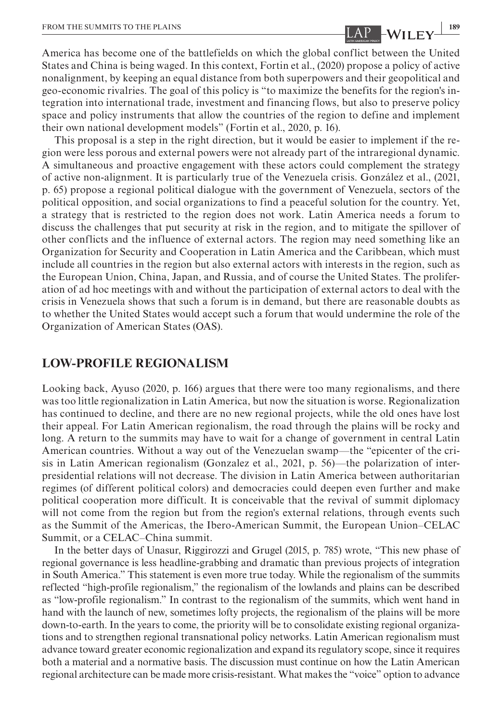America has become one of the battlefields on which the global conflict between the United States and China is being waged. In this context, Fortin et al., (2020) propose a policy of active nonalignment, by keeping an equal distance from both superpowers and their geopolitical and geo-economic rivalries. The goal of this policy is "to maximize the benefits for the region's integration into international trade, investment and financing flows, but also to preserve policy space and policy instruments that allow the countries of the region to define and implement their own national development models" (Fortin et al., 2020, p. 16).

This proposal is a step in the right direction, but it would be easier to implement if the region were less porous and external powers were not already part of the intraregional dynamic. A simultaneous and proactive engagement with these actors could complement the strategy of active non-alignment. It is particularly true of the Venezuela crisis. González et al., (2021, p. 65) propose a regional political dialogue with the government of Venezuela, sectors of the political opposition, and social organizations to find a peaceful solution for the country. Yet, a strategy that is restricted to the region does not work. Latin America needs a forum to discuss the challenges that put security at risk in the region, and to mitigate the spillover of other conflicts and the influence of external actors. The region may need something like an Organization for Security and Cooperation in Latin America and the Caribbean, which must include all countries in the region but also external actors with interests in the region, such as the European Union, China, Japan, and Russia, and of course the United States. The proliferation of ad hoc meetings with and without the participation of external actors to deal with the crisis in Venezuela shows that such a forum is in demand, but there are reasonable doubts as to whether the United States would accept such a forum that would undermine the role of the Organization of American States (OAS).

## **LOW-PROFILE REGIONALISM**

Looking back, Ayuso (2020, p. 166) argues that there were too many regionalisms, and there was too little regionalization in Latin America, but now the situation is worse. Regionalization has continued to decline, and there are no new regional projects, while the old ones have lost their appeal. For Latin American regionalism, the road through the plains will be rocky and long. A return to the summits may have to wait for a change of government in central Latin American countries. Without a way out of the Venezuelan swamp—the "epicenter of the crisis in Latin American regionalism (Gonzalez et al., 2021, p. 56)—the polarization of interpresidential relations will not decrease. The division in Latin America between authoritarian regimes (of different political colors) and democracies could deepen even further and make political cooperation more difficult. It is conceivable that the revival of summit diplomacy will not come from the region but from the region's external relations, through events such as the Summit of the Americas, the Ibero-American Summit, the European Union–CELAC Summit, or a CELAC–China summit.

In the better days of Unasur, Riggirozzi and Grugel (2015, p. 785) wrote, "This new phase of regional governance is less headline-grabbing and dramatic than previous projects of integration in South America." This statement is even more true today. While the regionalism of the summits reflected "high-profile regionalism," the regionalism of the lowlands and plains can be described as "low-profile regionalism." In contrast to the regionalism of the summits, which went hand in hand with the launch of new, sometimes lofty projects, the regionalism of the plains will be more down-to-earth. In the years to come, the priority will be to consolidate existing regional organizations and to strengthen regional transnational policy networks. Latin American regionalism must advance toward greater economic regionalization and expand its regulatory scope, since it requires both a material and a normative basis. The discussion must continue on how the Latin American regional architecture can be made more crisis-resistant. What makes the "voice" option to advance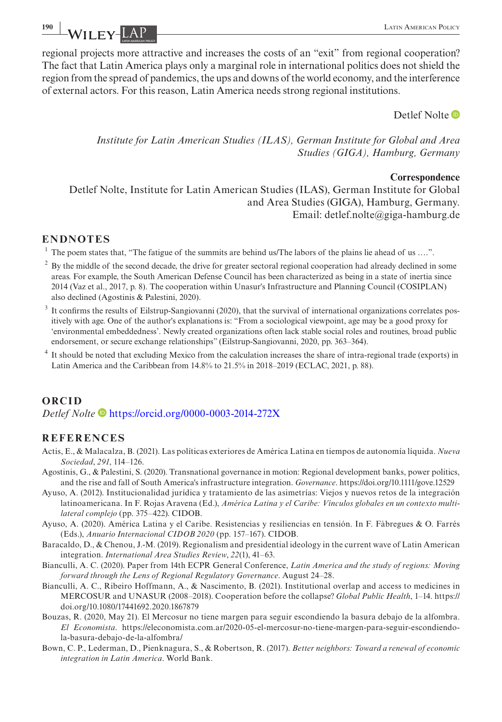**1900 I.A. Property - LATIN AMERICAN POLICY** 

regional projects more attractive and increases the costs of an "exit" from regional cooperation? The fact that Latin America plays only a marginal role in international politics does not shield the region from the spread of pandemics, the ups and downs of the world economy, and the interference of external actors. For this reason, Latin America needs strong regional institutions.

Detlef Nolte<sup>D</sup>

*Institute for Latin American Studies (ILAS), German Institute for Global and Area Studies (GIGA), Hamburg, Germany*

#### **Correspondence**

Detlef Nolte, Institute for Latin American Studies (ILAS), German Institute for Global and Area Studies (GIGA), Hamburg, Germany. Email: [detlef.nolte@giga-hamburg.de](mailto:detlef.nolte@giga-hamburg.de)

### **ENDNOTES**

<sup>1</sup> The poem states that, "The fatigue of the summits are behind us/The labors of the plains lie ahead of us ....".

- <sup>2</sup> By the middle of the second decade, the drive for greater sectoral regional cooperation had already declined in some areas. For example, the South American Defense Council has been characterized as being in a state of inertia since 2014 (Vaz et al., 2017, p. 8). The cooperation within Unasur's Infrastructure and Planning Council (COSIPLAN) also declined (Agostinis & Palestini, 2020).
- <sup>3</sup> It confirms the results of Eilstrup-Sangiovanni (2020), that the survival of international organizations correlates positively with age. One of the author's explanations is: "From a sociological viewpoint, age may be a good proxy for 'environmental embeddedness'. Newly created organizations often lack stable social roles and routines, broad public endorsement, or secure exchange relationships" (Eilstrup-Sangiovanni, 2020, pp. 363–364).
- <sup>4</sup> It should be noted that excluding Mexico from the calculation increases the share of intra-regional trade (exports) in Latin America and the Caribbean from 14.8% to 21.5% in 2018–2019 (ECLAC, 2021, p. 88).

### **ORCID** *Detlef Nolte* <https://orcid.org/0000-0003-2014-272X>

### **REFERENCES**

- Actis, E., & Malacalza, B. (2021). Las políticas exteriores de América Latina en tiempos de autonomía líquida. *Nueva Sociedad*, *291*, 114–126.
- Agostinis, G., & Palestini, S. (2020). Transnational governance in motion: Regional development banks, power politics, and the rise and fall of South America's infrastructure integration. *Governance*.<https://doi.org/10.1111/gove.12529>
- Ayuso, A. (2012). Institucionalidad jurídica y tratamiento de las asimetrías: Viejos y nuevos retos de la integración latinoamericana. In F. Rojas Aravena (Ed.), *América Latina y el Caribe: Vínculos globales en un contexto multilateral complejo* (pp. 375–422). CIDOB.
- Ayuso, A. (2020). América Latina y el Caribe. Resistencias y resiliencias en tensión. In F. Fàbregues & O. Farrés (Eds.), *Anuario Internacional CIDOB 2020* (pp. 157–167). CIDOB.
- Baracaldo, D., & Chenou, J.-M. (2019). Regionalism and presidential ideology in the current wave of Latin American integration. *International Area Studies Review*, *22*(1), 41–63.
- Bianculli, A. C. (2020). Paper from 14th ECPR General Conference, *Latin America and the study of regions: Moving forward through the Lens of Regional Regulatory Governance*. August 24–28.
- Bianculli, A. C., Ribeiro Hoffmann, A., & Nascimento, B. (2021). Institutional overlap and access to medicines in MERCOSUR and UNASUR (2008–2018). Cooperation before the collapse? *Global Public Health*, 1–14. [https://](https://doi.org/10.1080/17441692.2020.1867879) [doi.org/10.1080/17441692.2020.1867879](https://doi.org/10.1080/17441692.2020.1867879)
- Bouzas, R. (2020, May 21). El Mercosur no tiene margen para seguir escondiendo la basura debajo de la alfombra. *El Economista*. [https://eleconomista.com.ar/2020-05-el-mercosur-no-tiene-margen-para-seguir-escondiendo](https://eleconomista.com.ar/2020-05-el-mercosur-no-tiene-margen-para-seguir-escondiendo-la-basura-debajo-de-la-alfombra/)[la-basura-debajo-de-la-alfombra/](https://eleconomista.com.ar/2020-05-el-mercosur-no-tiene-margen-para-seguir-escondiendo-la-basura-debajo-de-la-alfombra/)
- Bown, C. P., Lederman, D., Pienknagura, S., & Robertson, R. (2017). *Better neighbors: Toward a renewal of economic integration in Latin America*. World Bank.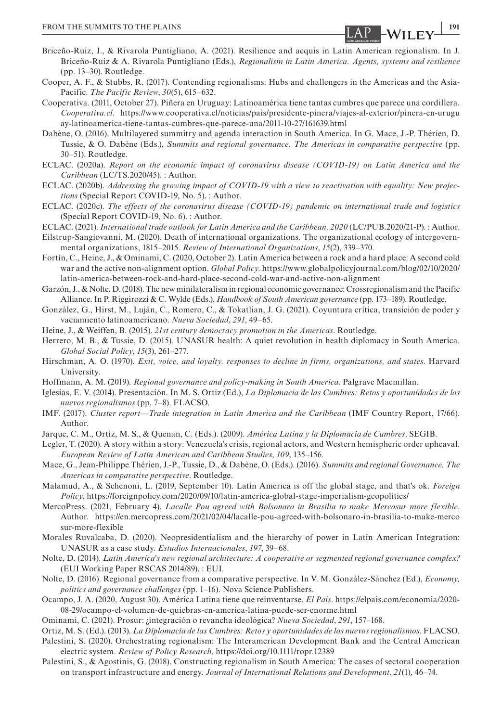- Briceño-Ruiz, J., & Rivarola Puntigliano, A. (2021). Resilience and acquis in Latin American regionalism. In J. Briceño-Ruiz & A. Rivarola Puntigliano (Eds.), *Regionalism in Latin America. Agents, systems and resilience* (pp. 13–30). Routledge.
- Cooper, A. F., & Stubbs, R. (2017). Contending regionalisms: Hubs and challengers in the Americas and the Asia-Pacific. *The Pacific Review*, *30*(5), 615–632.
- Cooperativa. (2011, October 27). Piñera en Uruguay: Latinoamérica tiene tantas cumbres que parece una cordillera. *Cooperativa.cl*. [https://www.cooperativa.cl/noticias/pais/presidente-pinera/viajes-al-exterior/pinera-en-urugu](https://www.cooperativa.cl/noticias/pais/presidente-pinera/viajes-al-exterior/pinera-en-uruguay-latinoamerica-tiene-tantas-cumbres-que-parece-una/2011-10-27/161639.html) [ay-latinoamerica-tiene-tantas-cumbres-que-parece-una/2011-10-27/161639.html](https://www.cooperativa.cl/noticias/pais/presidente-pinera/viajes-al-exterior/pinera-en-uruguay-latinoamerica-tiene-tantas-cumbres-que-parece-una/2011-10-27/161639.html)
- Dabène, O. (2016). Multilayered summitry and agenda interaction in South America. In G. Mace, J.-P. Thérien, D. Tussie, & O. Dabène (Eds.), *Summits and regional governance. The Americas in comparative perspective* (pp. 30–51). Routledge.
- ECLAC. (2020a). *Report on the economic impact of coronavirus disease (COVID-19) on Latin America and the Caribbean* (LC/TS.2020/45). : Author.
- ECLAC. (2020b). *Addressing the growing impact of COVID-19 with a view to reactivation with equality: New projections* (Special Report COVID-19, No. 5). : Author.
- ECLAC. (2020c). *The effects of the coronavirus disease (COVID-19) pandemic on international trade and logistics* (Special Report COVID-19, No. 6). : Author.
- ECLAC. (2021). *International trade outlook for Latin America and the Caribbean, 2020* (LC/PUB.2020/21-P). : Author.
- Eilstrup-Sangiovanni, M. (2020). Death of international organizations. The organizational ecology of intergovernmental organizations, 1815–2015. *Review of International Organizations*, *15*(2), 339–370.
- Fortín, C., Heine, J., & Ominami, C. (2020, October 2). Latin America between a rock and a hard place: A second cold war and the active non-alignment option. *Global Policy*. [https://www.globalpolicyjournal.com/blog/02/10/2020/](https://www.globalpolicyjournal.com/blog/02/10/2020/latin-america-between-rock-and-hard-place-second-cold-war-and-active-non-alignment) [latin-america-between-rock-and-hard-place-second-cold-war-and-active-non-alignment](https://www.globalpolicyjournal.com/blog/02/10/2020/latin-america-between-rock-and-hard-place-second-cold-war-and-active-non-alignment)

Garzón, J., & Nolte, D. (2018). The new minilateralism in regional economic governance: Crossregionalism and the Pacific Alliance. In P. Riggirozzi & C. Wylde (Eds.), *Handbook of South American governance* (pp. 173–189). Routledge.

González, G., Hirst, M., Luján, C., Romero, C., & Tokatlian, J. G. (2021). Coyuntura crítica, transición de poder y vaciamiento latinoamericano. *Nueva Sociedad*, *291*, 49–65.

Heine, J., & Weiffen, B. (2015). *21st century democracy promotion in the Americas*. Routledge.

- Herrero, M. B., & Tussie, D. (2015). UNASUR health: A quiet revolution in health diplomacy in South America. *Global Social Policy*, *15*(3), 261–277.
- Hirschman, A. O. (1970). *Exit, voice, and loyalty. responses to decline in firms, organizations, and states*. Harvard University.
- Hoffmann, A. M. (2019). *Regional governance and policy-making in South America*. Palgrave Macmillan.
- Iglesias, E. V. (2014). Presentación. In M. S. Ortiz (Ed.), *La Diplomacia de las Cumbres: Retos y oportunidades de los nuevos regionalismos* (pp. 7–8). FLACSO.
- IMF. (2017). *Cluster report—Trade integration in Latin America and the Caribbean* (IMF Country Report, 17/66). Author.
- Jarque, C. M., Ortiz, M. S., & Quenan, C. (Eds.). (2009). *América Latina y la Diplomacia de Cumbres*. SEGIB.
- Legler, T. (2020). A story within a story: Venezuela's crisis, regional actors, and Western hemispheric order upheaval. *European Review of Latin American and Caribbean Studies*, *109*, 135–156.
- Mace, G., Jean-Philippe Thérien, J.-P., Tussie, D., & Dabène, O. (Eds.). (2016). *Summits and regional Governance. The Americas in comparative perspective*. Routledge.
- Malamud, A., & Schenoni, L. (2019, September 10). Latin America is off the global stage, and that's ok. *Foreign Policy*. <https://foreignpolicy.com/2020/09/10/latin-america-global-stage-imperialism-geopolitics/>
- MercoPress. (2021, February 4). *Lacalle Pou agreed with Bolsonaro in Brasilia to make Mercosur more flexible*. Author. [https://en.mercopress.com/2021/02/04/lacalle-pou-agreed-with-bolsonaro-in-brasilia-to-make-merco](https://en.mercopress.com/2021/02/04/lacalle-pou-agreed-with-bolsonaro-in-brasilia-to-make-mercosur-more-flexible) [sur-more-flexible](https://en.mercopress.com/2021/02/04/lacalle-pou-agreed-with-bolsonaro-in-brasilia-to-make-mercosur-more-flexible)
- Morales Ruvalcaba, D. (2020). Neopresidentialism and the hierarchy of power in Latin American Integration: UNASUR as a case study. *Estudios Internacionales*, *197*, 39–68.
- Nolte, D. (2014). *Latin America's new regional architecture: A cooperative or segmented regional governance complex?* (EUI Working Paper RSCAS 2014/89). : EUI.
- Nolte, D. (2016). Regional governance from a comparative perspective. In V. M. González-Sánchez (Ed.), *Economy, politics and governance challenges* (pp. 1–16). Nova Science Publishers.
- Ocampo, J. A. (2020, August 30). América Latina tiene que reinventarse. *El País*. [https://elpais.com/economia/2020-](https://elpais.com/economia/2020-08-29/ocampo-el-volumen-de-quiebras-en-america-latina-puede-ser-enorme.html) [08-29/ocampo-el-volumen-de-quiebras-en-america-latina-puede-ser-enorme.html](https://elpais.com/economia/2020-08-29/ocampo-el-volumen-de-quiebras-en-america-latina-puede-ser-enorme.html)

Ominami, C. (2021). Prosur: ¿integración o revancha ideológica? *Nueva Sociedad*, *291*, 157–168.

Ortiz, M. S. (Ed.). (2013). *La Diplomacia de las Cumbres: Retos y oportunidades de los nuevos regionalismos*. FLACSO.

- Palestini, S. (2020). Orchestrating regionalism: The Interamerican Development Bank and the Central American electric system. *Review of Policy Research*. <https://doi.org/10.1111/ropr.12389>
- Palestini, S., & Agostinis, G. (2018). Constructing regionalism in South America: The cases of sectoral cooperation on transport infrastructure and energy. *Journal of International Relations and Development*, *21*(1), 46–74.